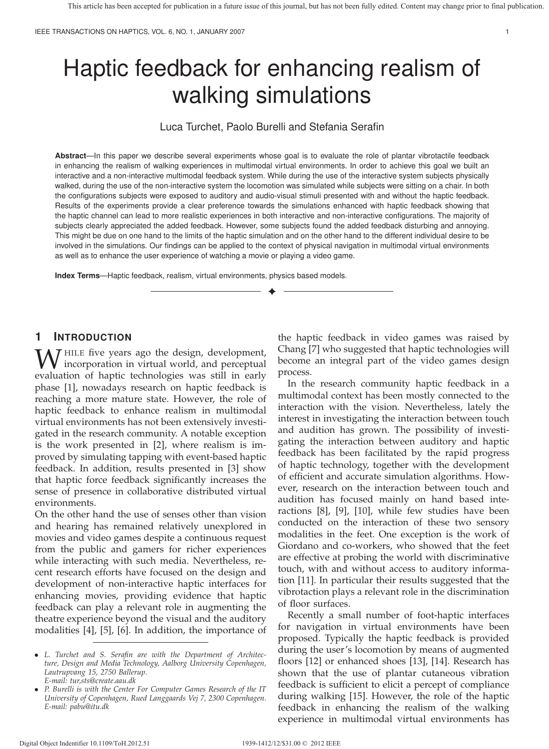# Haptic feedback for enhancing realism of walking simulations

## Luca Turchet, Paolo Burelli and Stefania Serafin

**Abstract**—In this paper we describe several experiments whose goal is to evaluate the role of plantar vibrotactile feedback in enhancing the realism of walking experiences in multimodal virtual environments. In order to achieve this goal we built an interactive and a non-interactive multimodal feedback system. While during the use of the interactive system subjects physically walked, during the use of the non-interactive system the locomotion was simulated while subjects were sitting on a chair. In both the configurations subjects were exposed to auditory and audio-visual stimuli presented with and without the haptic feedback. Results of the experiments provide a clear preference towards the simulations enhanced with haptic feedback showing that the haptic channel can lead to more realistic experiences in both interactive and non-interactive configurations. The majority of subjects clearly appreciated the added feedback. However, some subjects found the added feedback disturbing and annoying. This might be due on one hand to the limits of the haptic simulation and on the other hand to the different individual desire to be involved in the simulations. Our findings can be applied to the context of physical navigation in multimodal virtual environments as well as to enhance the user experience of watching a movie or playing a video game.

✦

**Index Terms**—Haptic feedback, realism, virtual environments, physics based models.

## **1 INTRODUCTION**

 $\overline{J}$  HILE five years ago the design, development, incorporation in virtual world, and perceptual evaluation of haptic technologies was still in early phase [1], nowadays research on haptic feedback is reaching a more mature state. However, the role of haptic feedback to enhance realism in multimodal virtual environments has not been extensively investigated in the research community. A notable exception is the work presented in [2], where realism is improved by simulating tapping with event-based haptic feedback. In addition, results presented in [3] show that haptic force feedback significantly increases the sense of presence in collaborative distributed virtual environments.

On the other hand the use of senses other than vision and hearing has remained relatively unexplored in movies and video games despite a continuous request from the public and gamers for richer experiences while interacting with such media. Nevertheless, recent research efforts have focused on the design and development of non-interactive haptic interfaces for enhancing movies, providing evidence that haptic feedback can play a relevant role in augmenting the theatre experience beyond the visual and the auditory modalities [4], [5], [6]. In addition, the importance of

the haptic feedback in video games was raised by Chang [7] who suggested that haptic technologies will become an integral part of the video games design process.

In the research community haptic feedback in a multimodal context has been mostly connected to the interaction with the vision. Nevertheless, lately the interest in investigating the interaction between touch and audition has grown. The possibility of investigating the interaction between auditory and haptic feedback has been facilitated by the rapid progress of haptic technology, together with the development of efficient and accurate simulation algorithms. However, research on the interaction between touch and audition has focused mainly on hand based interactions [8], [9], [10], while few studies have been conducted on the interaction of these two sensory modalities in the feet. One exception is the work of Giordano and co-workers, who showed that the feet are effective at probing the world with discriminative touch, with and without access to auditory information [11]. In particular their results suggested that the vibrotaction plays a relevant role in the discrimination of floor surfaces.

Recently a small number of foot-haptic interfaces for navigation in virtual environments have been proposed. Typically the haptic feedback is provided during the user's locomotion by means of augmented floors [12] or enhanced shoes [13], [14]. Research has shown that the use of plantar cutaneous vibration feedback is sufficient to elicit a percept of compliance during walking [15]. However, the role of the haptic feedback in enhancing the realism of the walking experience in multimodal virtual environments has

<sup>•</sup> *L. Turchet and S. Serafin are with the Department of Architecture, Design and Media Technology, Aalborg University Copenhagen, Lautrupvang 15, 2750 Ballerup. E-mail: tur,sts@create.aau.dk*

<sup>•</sup> *P. Burelli is with the Center For Computer Games Research of the IT University of Copenhagen, Rued Langgaards Vej 7, 2300 Copenhagen. E-mail: pabu@itu.dk*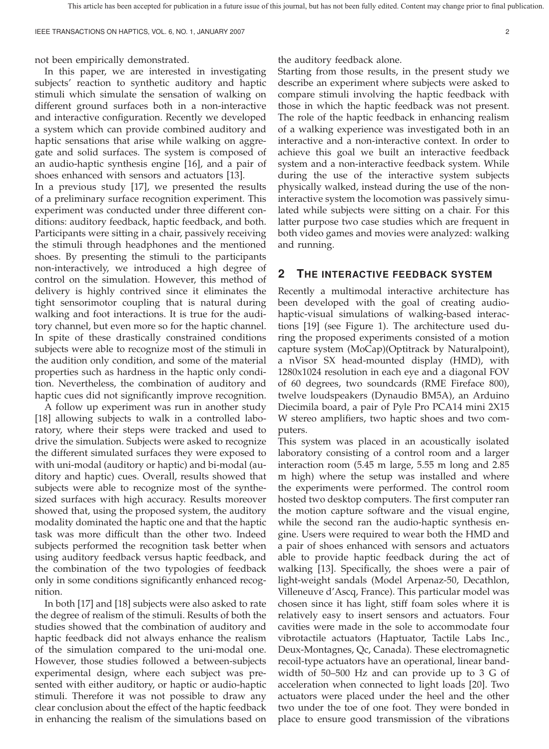not been empirically demonstrated.

In this paper, we are interested in investigating subjects' reaction to synthetic auditory and haptic stimuli which simulate the sensation of walking on different ground surfaces both in a non-interactive and interactive configuration. Recently we developed a system which can provide combined auditory and haptic sensations that arise while walking on aggregate and solid surfaces. The system is composed of an audio-haptic synthesis engine [16], and a pair of shoes enhanced with sensors and actuators [13]. In a previous study [17], we presented the results of a preliminary surface recognition experiment. This experiment was conducted under three different conditions: auditory feedback, haptic feedback, and both. Participants were sitting in a chair, passively receiving the stimuli through headphones and the mentioned shoes. By presenting the stimuli to the participants non-interactively, we introduced a high degree of control on the simulation. However, this method of delivery is highly contrived since it eliminates the tight sensorimotor coupling that is natural during walking and foot interactions. It is true for the auditory channel, but even more so for the haptic channel. In spite of these drastically constrained conditions subjects were able to recognize most of the stimuli in the audition only condition, and some of the material properties such as hardness in the haptic only condition. Nevertheless, the combination of auditory and haptic cues did not significantly improve recognition.

A follow up experiment was run in another study [18] allowing subjects to walk in a controlled laboratory, where their steps were tracked and used to drive the simulation. Subjects were asked to recognize the different simulated surfaces they were exposed to with uni-modal (auditory or haptic) and bi-modal (auditory and haptic) cues. Overall, results showed that subjects were able to recognize most of the synthesized surfaces with high accuracy. Results moreover showed that, using the proposed system, the auditory modality dominated the haptic one and that the haptic task was more difficult than the other two. Indeed subjects performed the recognition task better when using auditory feedback versus haptic feedback, and the combination of the two typologies of feedback only in some conditions significantly enhanced recognition.

In both [17] and [18] subjects were also asked to rate the degree of realism of the stimuli. Results of both the studies showed that the combination of auditory and haptic feedback did not always enhance the realism of the simulation compared to the uni-modal one. However, those studies followed a between-subjects experimental design, where each subject was presented with either auditory, or haptic or audio-haptic stimuli. Therefore it was not possible to draw any clear conclusion about the effect of the haptic feedback in enhancing the realism of the simulations based on the auditory feedback alone.

Starting from those results, in the present study we describe an experiment where subjects were asked to compare stimuli involving the haptic feedback with those in which the haptic feedback was not present. The role of the haptic feedback in enhancing realism of a walking experience was investigated both in an interactive and a non-interactive context. In order to achieve this goal we built an interactive feedback system and a non-interactive feedback system. While during the use of the interactive system subjects physically walked, instead during the use of the noninteractive system the locomotion was passively simulated while subjects were sitting on a chair. For this latter purpose two case studies which are frequent in both video games and movies were analyzed: walking and running.

### **2 THE INTERACTIVE FEEDBACK SYSTEM**

Recently a multimodal interactive architecture has been developed with the goal of creating audiohaptic-visual simulations of walking-based interactions [19] (see Figure 1). The architecture used during the proposed experiments consisted of a motion capture system (MoCap)(Optitrack by Naturalpoint), a nVisor SX head-mounted display (HMD), with 1280x1024 resolution in each eye and a diagonal FOV of 60 degrees, two soundcards (RME Fireface 800), twelve loudspeakers (Dynaudio BM5A), an Arduino Diecimila board, a pair of Pyle Pro PCA14 mini 2X15 W stereo amplifiers, two haptic shoes and two computers.

This system was placed in an acoustically isolated laboratory consisting of a control room and a larger interaction room (5.45 m large, 5.55 m long and 2.85 m high) where the setup was installed and where the experiments were performed. The control room hosted two desktop computers. The first computer ran the motion capture software and the visual engine, while the second ran the audio-haptic synthesis engine. Users were required to wear both the HMD and a pair of shoes enhanced with sensors and actuators able to provide haptic feedback during the act of walking [13]. Specifically, the shoes were a pair of light-weight sandals (Model Arpenaz-50, Decathlon, Villeneuve d'Ascq, France). This particular model was chosen since it has light, stiff foam soles where it is relatively easy to insert sensors and actuators. Four cavities were made in the sole to accommodate four vibrotactile actuators (Haptuator, Tactile Labs Inc., Deux-Montagnes, Qc, Canada). These electromagnetic recoil-type actuators have an operational, linear bandwidth of 50–500 Hz and can provide up to 3 G of acceleration when connected to light loads [20]. Two actuators were placed under the heel and the other two under the toe of one foot. They were bonded in place to ensure good transmission of the vibrations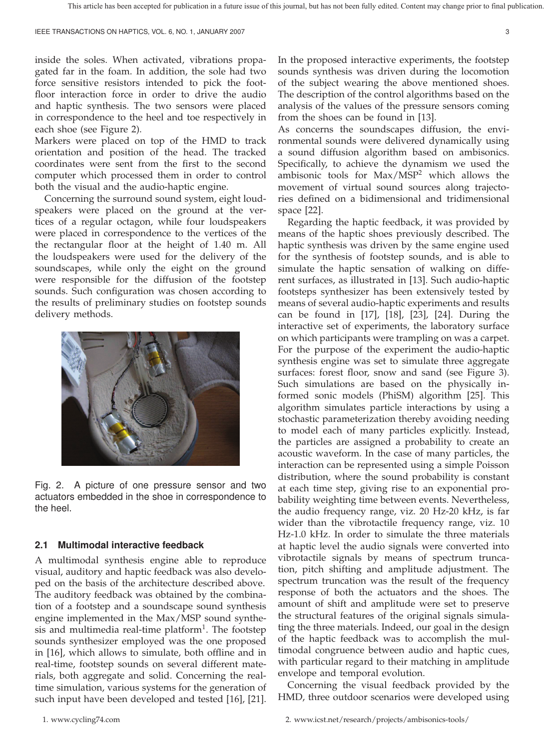inside the soles. When activated, vibrations propagated far in the foam. In addition, the sole had two force sensitive resistors intended to pick the footfloor interaction force in order to drive the audio and haptic synthesis. The two sensors were placed in correspondence to the heel and toe respectively in each shoe (see Figure 2).

Markers were placed on top of the HMD to track orientation and position of the head. The tracked coordinates were sent from the first to the second computer which processed them in order to control both the visual and the audio-haptic engine.

Concerning the surround sound system, eight loudspeakers were placed on the ground at the vertices of a regular octagon, while four loudspeakers were placed in correspondence to the vertices of the the rectangular floor at the height of 1.40 m. All the loudspeakers were used for the delivery of the soundscapes, while only the eight on the ground were responsible for the diffusion of the footstep sounds. Such configuration was chosen according to the results of preliminary studies on footstep sounds delivery methods.



Fig. 2. A picture of one pressure sensor and two actuators embedded in the shoe in correspondence to the heel.

### **2.1 Multimodal interactive feedback**

A multimodal synthesis engine able to reproduce visual, auditory and haptic feedback was also developed on the basis of the architecture described above. The auditory feedback was obtained by the combination of a footstep and a soundscape sound synthesis engine implemented in the Max/MSP sound synthesis and multimedia real-time platform<sup>1</sup>. The footstep sounds synthesizer employed was the one proposed in [16], which allows to simulate, both offline and in real-time, footstep sounds on several different materials, both aggregate and solid. Concerning the realtime simulation, various systems for the generation of such input have been developed and tested [16], [21].

In the proposed interactive experiments, the footstep sounds synthesis was driven during the locomotion of the subject wearing the above mentioned shoes. The description of the control algorithms based on the analysis of the values of the pressure sensors coming from the shoes can be found in [13].

As concerns the soundscapes diffusion, the environmental sounds were delivered dynamically using a sound diffusion algorithm based on ambisonics. Specifically, to achieve the dynamism we used the ambisonic tools for Max/MSP2 which allows the movement of virtual sound sources along trajectories defined on a bidimensional and tridimensional space [22].

Regarding the haptic feedback, it was provided by means of the haptic shoes previously described. The haptic synthesis was driven by the same engine used for the synthesis of footstep sounds, and is able to simulate the haptic sensation of walking on different surfaces, as illustrated in [13]. Such audio-haptic footsteps synthesizer has been extensively tested by means of several audio-haptic experiments and results can be found in [17], [18], [23], [24]. During the interactive set of experiments, the laboratory surface on which participants were trampling on was a carpet. For the purpose of the experiment the audio-haptic synthesis engine was set to simulate three aggregate surfaces: forest floor, snow and sand (see Figure 3). Such simulations are based on the physically informed sonic models (PhiSM) algorithm [25]. This algorithm simulates particle interactions by using a stochastic parameterization thereby avoiding needing to model each of many particles explicitly. Instead, the particles are assigned a probability to create an acoustic waveform. In the case of many particles, the interaction can be represented using a simple Poisson distribution, where the sound probability is constant at each time step, giving rise to an exponential probability weighting time between events. Nevertheless, the audio frequency range, viz. 20 Hz-20 kHz, is far wider than the vibrotactile frequency range, viz. 10 Hz-1.0 kHz. In order to simulate the three materials at haptic level the audio signals were converted into vibrotactile signals by means of spectrum truncation, pitch shifting and amplitude adjustment. The spectrum truncation was the result of the frequency response of both the actuators and the shoes. The amount of shift and amplitude were set to preserve the structural features of the original signals simulating the three materials. Indeed, our goal in the design of the haptic feedback was to accomplish the multimodal congruence between audio and haptic cues, with particular regard to their matching in amplitude envelope and temporal evolution.

Concerning the visual feedback provided by the HMD, three outdoor scenarios were developed using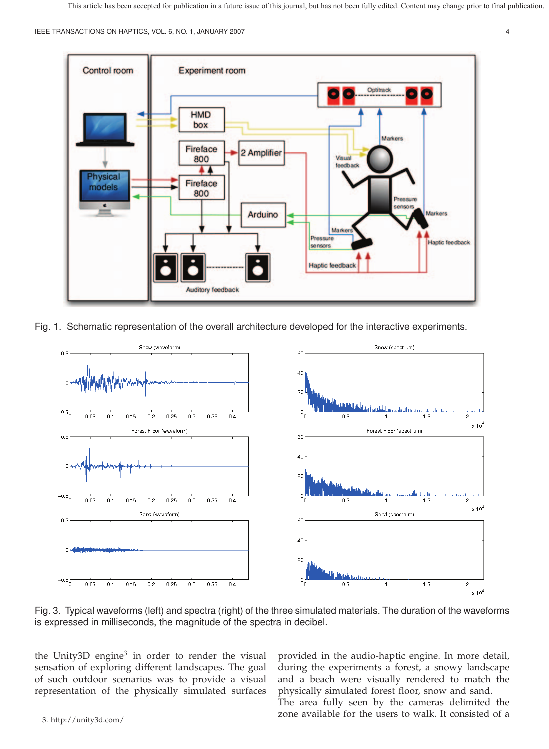IEEE TRANSACTIONS ON HAPTICS, VOL. 6, NO. 1, JANUARY 2007 4



Fig. 1. Schematic representation of the overall architecture developed for the interactive experiments.



Fig. 3. Typical waveforms (left) and spectra (right) of the three simulated materials. The duration of the waveforms is expressed in milliseconds, the magnitude of the spectra in decibel.

the Unity3D engine<sup>3</sup> in order to render the visual sensation of exploring different landscapes. The goal of such outdoor scenarios was to provide a visual representation of the physically simulated surfaces provided in the audio-haptic engine. In more detail, during the experiments a forest, a snowy landscape and a beach were visually rendered to match the physically simulated forest floor, snow and sand.

The area fully seen by the cameras delimited the zone available for the users to walk. It consisted of a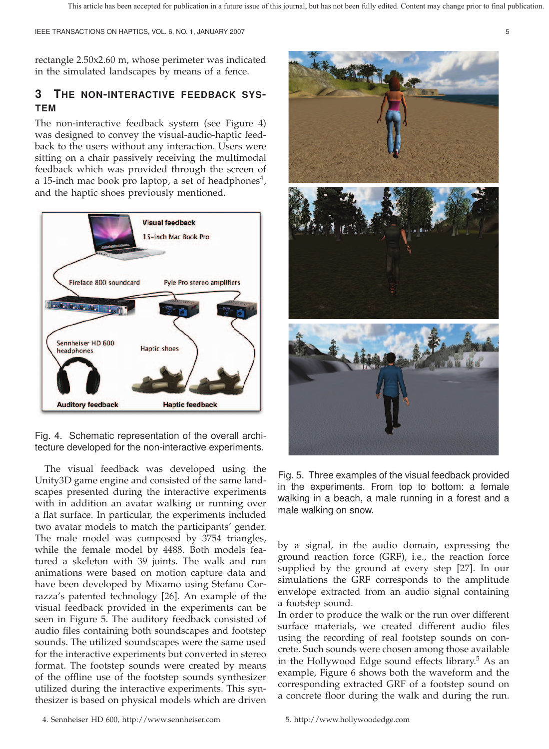IEEE TRANSACTIONS ON HAPTICS, VOL. 6, NO. 1, JANUARY 2007 **SEEMBLE ARE A SECULAR ASSAULT ASSAULT** 5

rectangle 2.50x2.60 m, whose perimeter was indicated in the simulated landscapes by means of a fence.

## **3 THE NON-INTERACTIVE FEEDBACK SYS-TEM**

The non-interactive feedback system (see Figure 4) was designed to convey the visual-audio-haptic feedback to the users without any interaction. Users were sitting on a chair passively receiving the multimodal feedback which was provided through the screen of a 15-inch mac book pro laptop, a set of headphones<sup>4</sup>, and the haptic shoes previously mentioned.



Fig. 4. Schematic representation of the overall architecture developed for the non-interactive experiments.

The visual feedback was developed using the Unity3D game engine and consisted of the same landscapes presented during the interactive experiments with in addition an avatar walking or running over a flat surface. In particular, the experiments included two avatar models to match the participants' gender. The male model was composed by 3754 triangles, while the female model by 4488. Both models featured a skeleton with 39 joints. The walk and run animations were based on motion capture data and have been developed by Mixamo using Stefano Corrazza's patented technology [26]. An example of the visual feedback provided in the experiments can be seen in Figure 5. The auditory feedback consisted of audio files containing both soundscapes and footstep sounds. The utilized soundscapes were the same used for the interactive experiments but converted in stereo format. The footstep sounds were created by means of the offline use of the footstep sounds synthesizer utilized during the interactive experiments. This synthesizer is based on physical models which are driven



Fig. 5. Three examples of the visual feedback provided in the experiments. From top to bottom: a female walking in a beach, a male running in a forest and a male walking on snow.

by a signal, in the audio domain, expressing the ground reaction force (GRF), i.e., the reaction force supplied by the ground at every step [27]. In our simulations the GRF corresponds to the amplitude envelope extracted from an audio signal containing a footstep sound.

In order to produce the walk or the run over different surface materials, we created different audio files using the recording of real footstep sounds on concrete. Such sounds were chosen among those available in the Hollywood Edge sound effects library.<sup>5</sup> As an example, Figure 6 shows both the waveform and the corresponding extracted GRF of a footstep sound on a concrete floor during the walk and during the run.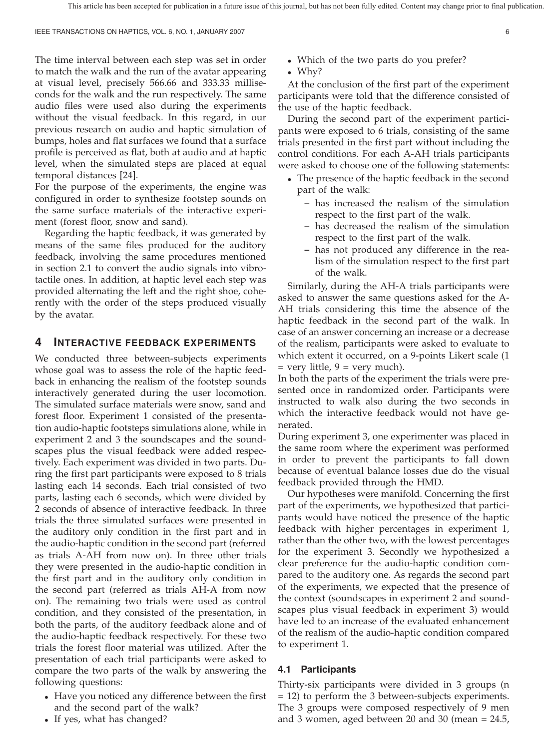The time interval between each step was set in order to match the walk and the run of the avatar appearing at visual level, precisely 566.66 and 333.33 milliseconds for the walk and the run respectively. The same audio files were used also during the experiments without the visual feedback. In this regard, in our previous research on audio and haptic simulation of bumps, holes and flat surfaces we found that a surface profile is perceived as flat, both at audio and at haptic level, when the simulated steps are placed at equal temporal distances [24].

For the purpose of the experiments, the engine was configured in order to synthesize footstep sounds on the same surface materials of the interactive experiment (forest floor, snow and sand).

Regarding the haptic feedback, it was generated by means of the same files produced for the auditory feedback, involving the same procedures mentioned in section 2.1 to convert the audio signals into vibrotactile ones. In addition, at haptic level each step was provided alternating the left and the right shoe, coherently with the order of the steps produced visually by the avatar.

## **4 INTERACTIVE FEEDBACK EXPERIMENTS**

We conducted three between-subjects experiments whose goal was to assess the role of the haptic feedback in enhancing the realism of the footstep sounds interactively generated during the user locomotion. The simulated surface materials were snow, sand and forest floor. Experiment 1 consisted of the presentation audio-haptic footsteps simulations alone, while in experiment 2 and 3 the soundscapes and the soundscapes plus the visual feedback were added respectively. Each experiment was divided in two parts. During the first part participants were exposed to 8 trials lasting each 14 seconds. Each trial consisted of two parts, lasting each 6 seconds, which were divided by 2 seconds of absence of interactive feedback. In three trials the three simulated surfaces were presented in the auditory only condition in the first part and in the audio-haptic condition in the second part (referred as trials A-AH from now on). In three other trials they were presented in the audio-haptic condition in the first part and in the auditory only condition in the second part (referred as trials AH-A from now on). The remaining two trials were used as control condition, and they consisted of the presentation, in both the parts, of the auditory feedback alone and of the audio-haptic feedback respectively. For these two trials the forest floor material was utilized. After the presentation of each trial participants were asked to compare the two parts of the walk by answering the following questions:

- Have you noticed any difference between the first and the second part of the walk?
- If yes, what has changed?
- Which of the two parts do you prefer?
- Why?

At the conclusion of the first part of the experiment participants were told that the difference consisted of the use of the haptic feedback.

During the second part of the experiment participants were exposed to 6 trials, consisting of the same trials presented in the first part without including the control conditions. For each A-AH trials participants were asked to choose one of the following statements:

- The presence of the haptic feedback in the second part of the walk:
	- **–** has increased the realism of the simulation respect to the first part of the walk.
	- **–** has decreased the realism of the simulation respect to the first part of the walk.
	- **–** has not produced any difference in the realism of the simulation respect to the first part of the walk.

Similarly, during the AH-A trials participants were asked to answer the same questions asked for the A-AH trials considering this time the absence of the haptic feedback in the second part of the walk. In case of an answer concerning an increase or a decrease of the realism, participants were asked to evaluate to which extent it occurred, on a 9-points Likert scale (1  $=$  very little,  $9 =$  very much).

In both the parts of the experiment the trials were presented once in randomized order. Participants were instructed to walk also during the two seconds in which the interactive feedback would not have generated.

During experiment 3, one experimenter was placed in the same room where the experiment was performed in order to prevent the participants to fall down because of eventual balance losses due do the visual feedback provided through the HMD.

Our hypotheses were manifold. Concerning the first part of the experiments, we hypothesized that participants would have noticed the presence of the haptic feedback with higher percentages in experiment 1, rather than the other two, with the lowest percentages for the experiment 3. Secondly we hypothesized a clear preference for the audio-haptic condition compared to the auditory one. As regards the second part of the experiments, we expected that the presence of the context (soundscapes in experiment 2 and soundscapes plus visual feedback in experiment 3) would have led to an increase of the evaluated enhancement of the realism of the audio-haptic condition compared to experiment 1.

## **4.1 Participants**

Thirty-six participants were divided in 3 groups (n = 12) to perform the 3 between-subjects experiments. The 3 groups were composed respectively of 9 men and 3 women, aged between 20 and 30 (mean = 24.5,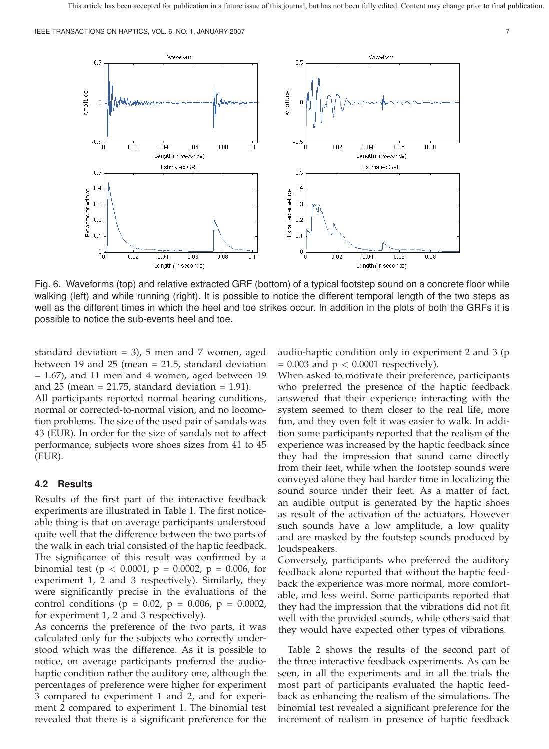IEEE TRANSACTIONS ON HAPTICS, VOL. 6, NO. 1, JANUARY 2007 **7 11 12 13 14 14 15 16 17 18 19 19 19 19 10** 11 12



Fig. 6. Waveforms (top) and relative extracted GRF (bottom) of a typical footstep sound on a concrete floor while walking (left) and while running (right). It is possible to notice the different temporal length of the two steps as well as the different times in which the heel and toe strikes occur. In addition in the plots of both the GRFs it is possible to notice the sub-events heel and toe.

standard deviation  $= 3$ , 5 men and 7 women, aged between 19 and 25 (mean = 21.5, standard deviation = 1.67), and 11 men and 4 women, aged between 19 and 25 (mean = 21.75, standard deviation = 1.91).

All participants reported normal hearing conditions, normal or corrected-to-normal vision, and no locomotion problems. The size of the used pair of sandals was 43 (EUR). In order for the size of sandals not to affect performance, subjects wore shoes sizes from 41 to 45 (EUR).

#### **4.2 Results**

Results of the first part of the interactive feedback experiments are illustrated in Table 1. The first noticeable thing is that on average participants understood quite well that the difference between the two parts of the walk in each trial consisted of the haptic feedback. The significance of this result was confirmed by a binomial test ( $p < 0.0001$ ,  $p = 0.0002$ ,  $p = 0.006$ , for experiment 1, 2 and 3 respectively). Similarly, they were significantly precise in the evaluations of the control conditions ( $p = 0.02$ ,  $p = 0.006$ ,  $p = 0.0002$ , for experiment 1, 2 and 3 respectively).

As concerns the preference of the two parts, it was calculated only for the subjects who correctly understood which was the difference. As it is possible to notice, on average participants preferred the audiohaptic condition rather the auditory one, although the percentages of preference were higher for experiment 3 compared to experiment 1 and 2, and for experiment 2 compared to experiment 1. The binomial test revealed that there is a significant preference for the audio-haptic condition only in experiment 2 and 3 (p  $= 0.003$  and  $p < 0.0001$  respectively).

When asked to motivate their preference, participants who preferred the presence of the haptic feedback answered that their experience interacting with the system seemed to them closer to the real life, more fun, and they even felt it was easier to walk. In addition some participants reported that the realism of the experience was increased by the haptic feedback since they had the impression that sound came directly from their feet, while when the footstep sounds were conveyed alone they had harder time in localizing the sound source under their feet. As a matter of fact, an audible output is generated by the haptic shoes as result of the activation of the actuators. However such sounds have a low amplitude, a low quality and are masked by the footstep sounds produced by loudspeakers.

Conversely, participants who preferred the auditory feedback alone reported that without the haptic feedback the experience was more normal, more comfortable, and less weird. Some participants reported that they had the impression that the vibrations did not fit well with the provided sounds, while others said that they would have expected other types of vibrations.

Table 2 shows the results of the second part of the three interactive feedback experiments. As can be seen, in all the experiments and in all the trials the most part of participants evaluated the haptic feedback as enhancing the realism of the simulations. The binomial test revealed a significant preference for the increment of realism in presence of haptic feedback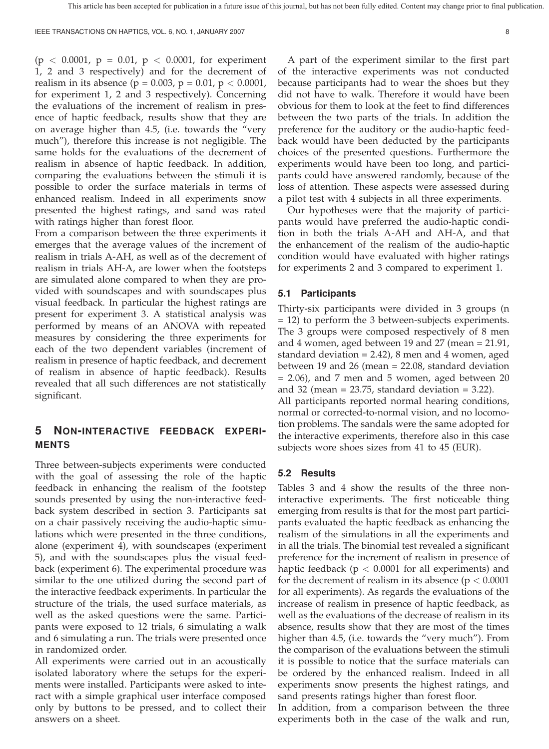$(p < 0.0001, p = 0.01, p < 0.0001, for experiment$ 1, 2 and 3 respectively) and for the decrement of realism in its absence ( $p = 0.003$ ,  $p = 0.01$ ,  $p < 0.0001$ , for experiment 1, 2 and 3 respectively). Concerning the evaluations of the increment of realism in presence of haptic feedback, results show that they are on average higher than 4.5, (i.e. towards the "very much"), therefore this increase is not negligible. The same holds for the evaluations of the decrement of realism in absence of haptic feedback. In addition, comparing the evaluations between the stimuli it is possible to order the surface materials in terms of enhanced realism. Indeed in all experiments snow presented the highest ratings, and sand was rated with ratings higher than forest floor.

From a comparison between the three experiments it emerges that the average values of the increment of realism in trials A-AH, as well as of the decrement of realism in trials AH-A, are lower when the footsteps are simulated alone compared to when they are provided with soundscapes and with soundscapes plus visual feedback. In particular the highest ratings are present for experiment 3. A statistical analysis was performed by means of an ANOVA with repeated measures by considering the three experiments for each of the two dependent variables (increment of realism in presence of haptic feedback, and decrement of realism in absence of haptic feedback). Results revealed that all such differences are not statistically significant.

## **5 NON-INTERACTIVE FEEDBACK EXPERI-MENTS**

Three between-subjects experiments were conducted with the goal of assessing the role of the haptic feedback in enhancing the realism of the footstep sounds presented by using the non-interactive feedback system described in section 3. Participants sat on a chair passively receiving the audio-haptic simulations which were presented in the three conditions, alone (experiment 4), with soundscapes (experiment 5), and with the soundscapes plus the visual feedback (experiment 6). The experimental procedure was similar to the one utilized during the second part of the interactive feedback experiments. In particular the structure of the trials, the used surface materials, as well as the asked questions were the same. Participants were exposed to 12 trials, 6 simulating a walk and 6 simulating a run. The trials were presented once in randomized order.

All experiments were carried out in an acoustically isolated laboratory where the setups for the experiments were installed. Participants were asked to interact with a simple graphical user interface composed only by buttons to be pressed, and to collect their answers on a sheet.

A part of the experiment similar to the first part of the interactive experiments was not conducted because participants had to wear the shoes but they did not have to walk. Therefore it would have been obvious for them to look at the feet to find differences between the two parts of the trials. In addition the preference for the auditory or the audio-haptic feedback would have been deducted by the participants choices of the presented questions. Furthermore the experiments would have been too long, and participants could have answered randomly, because of the loss of attention. These aspects were assessed during a pilot test with 4 subjects in all three experiments.

Our hypotheses were that the majority of participants would have preferred the audio-haptic condition in both the trials A-AH and AH-A, and that the enhancement of the realism of the audio-haptic condition would have evaluated with higher ratings for experiments 2 and 3 compared to experiment 1.

#### **5.1 Participants**

Thirty-six participants were divided in 3 groups (n = 12) to perform the 3 between-subjects experiments. The 3 groups were composed respectively of 8 men and 4 women, aged between 19 and 27 (mean = 21.91, standard deviation = 2.42), 8 men and 4 women, aged between 19 and 26 (mean = 22.08, standard deviation = 2.06), and 7 men and 5 women, aged between 20 and 32 (mean =  $23.75$ , standard deviation =  $3.22$ ). All participants reported normal hearing conditions, normal or corrected-to-normal vision, and no locomotion problems. The sandals were the same adopted for the interactive experiments, therefore also in this case subjects wore shoes sizes from 41 to 45 (EUR).

## **5.2 Results**

Tables 3 and 4 show the results of the three noninteractive experiments. The first noticeable thing emerging from results is that for the most part participants evaluated the haptic feedback as enhancing the realism of the simulations in all the experiments and in all the trials. The binomial test revealed a significant preference for the increment of realism in presence of haptic feedback ( $p < 0.0001$  for all experiments) and for the decrement of realism in its absence ( $p < 0.0001$ ) for all experiments). As regards the evaluations of the increase of realism in presence of haptic feedback, as well as the evaluations of the decrease of realism in its absence, results show that they are most of the times higher than 4.5, (i.e. towards the "very much"). From the comparison of the evaluations between the stimuli it is possible to notice that the surface materials can be ordered by the enhanced realism. Indeed in all experiments snow presents the highest ratings, and sand presents ratings higher than forest floor.

In addition, from a comparison between the three experiments both in the case of the walk and run,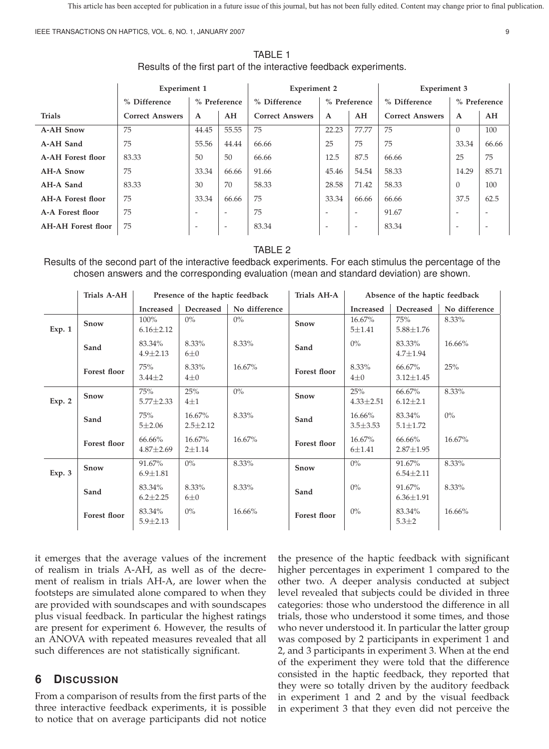IEEE TRANSACTIONS ON HAPTICS, VOL. 6, NO. 1, JANUARY 2007 9

**Experiment 1 Experiment 2 Experiment 3 % Difference % Preference % Difference % Preference % Difference % Preference Trials Correct Answers A AH Correct Answers A AH Correct Answers A AH A-AH Snow** 75 44.45 55.55 75 22.23 77.77 75 0 100 **A-AH Sand** 75 55.56 44.44 66.66 25 75 75 33.34 66.66 **A-AH Forest floor** 83.33 1 50 50 66.66 12.5 87.5 66.66 25 75 **AH-A Snow** 75 33.34 66.66 91.66 45.46 54.54 58.33 14.29 85.71 **AH-A Sand** 83.33 30 70 58.33 28.58 71.42 58.33 0 100 **AH-A Forest floor** 75 33.34 66.66 75 33.34 66.66 66.66 37.5 62.5 **A-A Forest floor** 75 - - 75 - - 91.67 - -**AH-AH Forest floor** 75 - - 83.34 - - 83.34 - -

### TABLE 1

Results of the first part of the interactive feedback experiments.

#### TABLE 2

Results of the second part of the interactive feedback experiments. For each stimulus the percentage of the chosen answers and the corresponding evaluation (mean and standard deviation) are shown.

|        | Trials A-AH  | Presence of the haptic feedback |                          |               | Trials AH-A  | Absence of the haptic feedback |                           |               |
|--------|--------------|---------------------------------|--------------------------|---------------|--------------|--------------------------------|---------------------------|---------------|
|        |              | Increased                       | Decreased                | No difference |              | Increased                      | Decreased                 | No difference |
| Exp. 1 | Snow         | 100%<br>$6.16 \pm 2.12$         | $0\%$                    | $0\%$         | Snow         | 16.67%<br>$5 + 1.41$           | 75%<br>$5.88 \pm 1.76$    | 8.33%         |
|        | Sand         | 83.34%<br>$4.9 \pm 2.13$        | 8.33%<br>$6\pm0$         | 8.33%         | Sand         | $0\%$                          | 83.33%<br>$4.7 \pm 1.94$  | 16.66%        |
|        | Forest floor | 75%<br>$3.44 \pm 2$             | 8.33%<br>$4\pm0$         | 16.67%        | Forest floor | 8.33%<br>$4\pm0$               | 66.67%<br>$3.12 \pm 1.45$ | 25%           |
| Exp. 2 | Snow         | 75%<br>$5.77 \pm 2.33$          | 25%<br>$4\pm1$           | $0\%$         | Snow         | 25%<br>$4.33 \pm 2.51$         | 66.67%<br>$6.12 \pm 2.1$  | 8.33%         |
|        | Sand         | 75%<br>$5 + 2.06$               | 16.67%<br>$2.5 \pm 2.12$ | 8.33%         | Sand         | 16.66%<br>$3.5 \pm 3.53$       | 83.34%<br>$5.1 \pm 1.72$  | $0\%$         |
|        | Forest floor | 66.66%<br>$4.87 \pm 2.69$       | 16.67%<br>$2 + 1.14$     | 16.67%        | Forest floor | 16.67%<br>$6 + 1.41$           | 66.66%<br>$2.87 \pm 1.95$ | 16.67%        |
| Exp. 3 | Snow         | 91.67%<br>$6.9 \pm 1.81$        | $0\%$                    | 8.33%         | Snow         | $0\%$                          | 91.67%<br>$6.54 \pm 2.11$ | 8.33%         |
|        | Sand         | 83.34%<br>$6.2 \pm 2.25$        | 8.33%<br>$6\pm0$         | 8.33%         | Sand         | $0\%$                          | 91.67%<br>$6.36 \pm 1.91$ | 8.33%         |
|        | Forest floor | 83.34%<br>$5.9 \pm 2.13$        | $0\%$                    | 16.66%        | Forest floor | $0\%$                          | 83.34%<br>$5.3 + 2$       | 16.66%        |

it emerges that the average values of the increment of realism in trials A-AH, as well as of the decrement of realism in trials AH-A, are lower when the footsteps are simulated alone compared to when they are provided with soundscapes and with soundscapes plus visual feedback. In particular the highest ratings are present for experiment 6. However, the results of an ANOVA with repeated measures revealed that all such differences are not statistically significant.

## **6 DISCUSSION**

From a comparison of results from the first parts of the three interactive feedback experiments, it is possible to notice that on average participants did not notice

the presence of the haptic feedback with significant higher percentages in experiment 1 compared to the other two. A deeper analysis conducted at subject level revealed that subjects could be divided in three categories: those who understood the difference in all trials, those who understood it some times, and those who never understood it. In particular the latter group was composed by 2 participants in experiment 1 and 2, and 3 participants in experiment 3. When at the end of the experiment they were told that the difference consisted in the haptic feedback, they reported that they were so totally driven by the auditory feedback in experiment 1 and 2 and by the visual feedback in experiment 3 that they even did not perceive the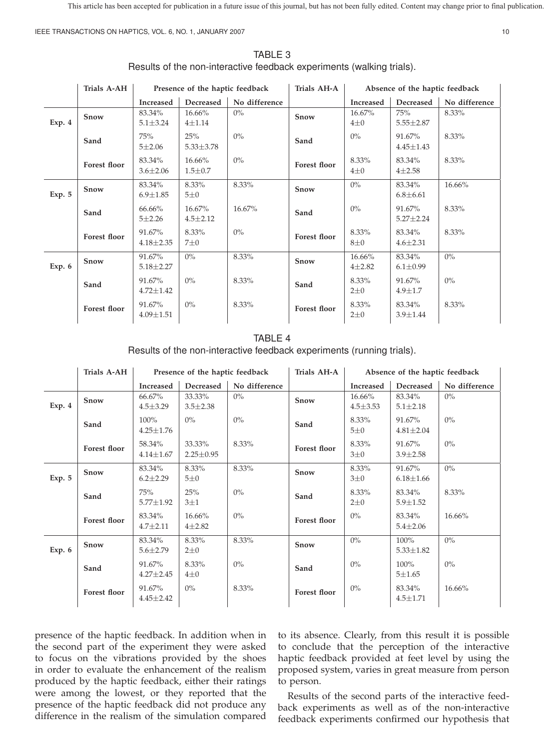IEEE TRANSACTIONS ON HAPTICS, VOL. 6, NO. 1, JANUARY 2007 10

|          | Results of the non-interactive feedback experiments (walking trials). |                                 |                          |               |              |                                |                           |               |  |
|----------|-----------------------------------------------------------------------|---------------------------------|--------------------------|---------------|--------------|--------------------------------|---------------------------|---------------|--|
|          | Trials A-AH                                                           | Presence of the haptic feedback |                          |               | Trials AH-A  | Absence of the haptic feedback |                           |               |  |
|          |                                                                       | Increased                       | Decreased                | No difference |              | Increased                      | Decreased                 | No difference |  |
| Exp. $4$ | Snow                                                                  | 83.34%<br>$5.1 \pm 3.24$        | 16.66%<br>$4 \pm 1.14$   | $0\%$         | Snow         | 16.67%<br>$4\pm0$              | 75%<br>$5.55 \pm 2.87$    | 8.33%         |  |
|          | Sand                                                                  | 75%<br>$5 + 2.06$               | 25%<br>$5.33 \pm 3.78$   | $0\%$         | Sand         | $0\%$                          | 91.67%<br>$4.45 \pm 1.43$ | 8.33%         |  |
|          | Forest floor                                                          | 83.34%<br>$3.6 \pm 2.06$        | 16.66%<br>$1.5 \pm 0.7$  | $0\%$         | Forest floor | 8.33%<br>$4\pm0$               | 83.34%<br>$4 + 2.58$      | 8.33%         |  |
| Exp. 5   | Snow                                                                  | 83.34%<br>$6.9 \pm 1.85$        | 8.33%<br>$5\pm0$         | 8.33%         | Snow         | $0\%$                          | 83.34%<br>$6.8 \pm 6.61$  | 16.66%        |  |
|          | Sand                                                                  | 66.66%<br>$5 + 2.26$            | 16.67%<br>$4.5 \pm 2.12$ | 16.67%        | Sand         | $0\%$                          | 91.67%<br>$5.27 \pm 2.24$ | 8.33%         |  |
|          | Forest floor                                                          | 91.67%<br>$4.18 \pm 2.35$       | 8.33%<br>$7\pm0$         | $0\%$         | Forest floor | 8.33%<br>$8\pm0$               | 83.34%<br>$4.6 \pm 2.31$  | 8.33%         |  |
| Exp. 6   | Snow                                                                  | 91.67%<br>$5.18 \pm 2.27$       | $0\%$                    | 8.33%         | Snow         | 16.66%<br>$4 + 2.82$           | 83.34%<br>$6.1 \pm 0.99$  | $0\%$         |  |
|          | Sand                                                                  | 91.67%                          | $0\%$                    | 8.33%         | Sand         | 8.33%                          | 91.67%                    | $0\%$         |  |

TABLE 3

| TABLE 4                                                               |  |
|-----------------------------------------------------------------------|--|
| Results of the non-interactive feedback experiments (running trials). |  |

 $4.72 \pm 1.42$   $4.9 \pm 1.7$ **Forest floor**  $\begin{array}{|l} 91.67\% \\ \end{array}$  0% 8.33% **Forest floor** 8.33% 83.34% 83.34%  $4.09 \pm 1.51$   $2 \pm 0$   $3.9 \pm 1.44$ 

|          | Trials A-AH  | Presence of the haptic feedback |                           |               | Trials AH-A  | Absence of the haptic feedback |                           |               |
|----------|--------------|---------------------------------|---------------------------|---------------|--------------|--------------------------------|---------------------------|---------------|
|          |              | Increased                       | Decreased                 | No difference |              | Increased                      | Decreased                 | No difference |
| Exp. $4$ | Snow         | 66.67%<br>$4.5 + 3.29$          | 33.33%<br>$3.5 \pm 2.38$  | $0\%$         | Snow         | 16.66%<br>$4.5 \pm 3.53$       | 83.34%<br>$5.1 \pm 2.18$  | $0\%$         |
|          | Sand         | 100%<br>$4.25 \pm 1.76$         | $0\%$                     | $0\%$         | Sand         | 8.33%<br>$5\pm0$               | 91.67%<br>$4.81 \pm 2.04$ | $0\%$         |
|          | Forest floor | 58.34%<br>$4.14 \pm 1.67$       | 33.33%<br>$2.25 \pm 0.95$ | 8.33%         | Forest floor | 8.33%<br>$3\pm0$               | 91.67%<br>$3.9 \pm 2.58$  | $0\%$         |
| Exp. 5   | Snow         | 83.34%<br>$6.2 \pm 2.29$        | 8.33%<br>$5\pm0$          | 8.33%         | Snow         | 8.33%<br>$3\pm0$               | 91.67%<br>$6.18 \pm 1.66$ | $0\%$         |
|          | Sand         | 75%<br>$5.77 \pm 1.92$          | 25%<br>$3\pm1$            | $0\%$         | Sand         | 8.33%<br>$2\pm 0$              | 83.34%<br>$5.9 \pm 1.52$  | 8.33%         |
|          | Forest floor | 83.34%<br>$4.7 \pm 2.11$        | 16.66%<br>$4 + 2.82$      | $0\%$         | Forest floor | $0\%$                          | 83.34%<br>$5.4 \pm 2.06$  | 16.66%        |
| Exp. 6   | Snow         | 83.34%<br>$5.6 \pm 2.79$        | 8.33%<br>$2\pm 0$         | 8.33%         | Snow         | $0\%$                          | 100%<br>$5.33 \pm 1.82$   | $0\%$         |
|          | Sand         | 91.67%<br>$4.27 \pm 2.45$       | 8.33%<br>$4\pm0$          | $0\%$         | Sand         | $0\%$                          | 100%<br>$5 + 1.65$        | $0\%$         |
|          | Forest floor | 91.67%<br>$4.45 \pm 2.42$       | $0\%$                     | 8.33%         | Forest floor | $0\%$                          | 83.34%<br>$4.5 \pm 1.71$  | 16.66%        |

presence of the haptic feedback. In addition when in the second part of the experiment they were asked to focus on the vibrations provided by the shoes in order to evaluate the enhancement of the realism produced by the haptic feedback, either their ratings were among the lowest, or they reported that the presence of the haptic feedback did not produce any difference in the realism of the simulation compared to its absence. Clearly, from this result it is possible to conclude that the perception of the interactive haptic feedback provided at feet level by using the proposed system, varies in great measure from person to person.

Results of the second parts of the interactive feedback experiments as well as of the non-interactive feedback experiments confirmed our hypothesis that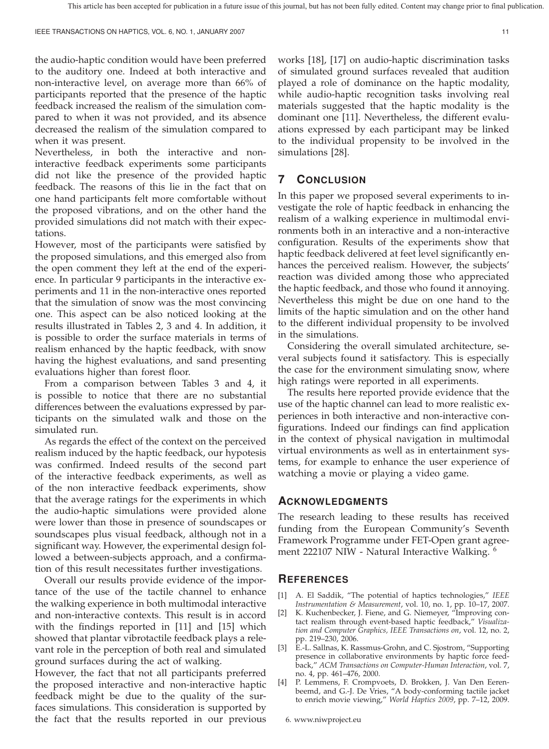the audio-haptic condition would have been preferred to the auditory one. Indeed at both interactive and non-interactive level, on average more than 66% of participants reported that the presence of the haptic feedback increased the realism of the simulation compared to when it was not provided, and its absence decreased the realism of the simulation compared to when it was present.

Nevertheless, in both the interactive and noninteractive feedback experiments some participants did not like the presence of the provided haptic feedback. The reasons of this lie in the fact that on one hand participants felt more comfortable without the proposed vibrations, and on the other hand the provided simulations did not match with their expectations.

However, most of the participants were satisfied by the proposed simulations, and this emerged also from the open comment they left at the end of the experience. In particular 9 participants in the interactive experiments and 11 in the non-interactive ones reported that the simulation of snow was the most convincing one. This aspect can be also noticed looking at the results illustrated in Tables 2, 3 and 4. In addition, it is possible to order the surface materials in terms of realism enhanced by the haptic feedback, with snow having the highest evaluations, and sand presenting evaluations higher than forest floor.

From a comparison between Tables 3 and 4, it is possible to notice that there are no substantial differences between the evaluations expressed by participants on the simulated walk and those on the simulated run.

As regards the effect of the context on the perceived realism induced by the haptic feedback, our hypotesis was confirmed. Indeed results of the second part of the interactive feedback experiments, as well as of the non interactive feedback experiments, show that the average ratings for the experiments in which the audio-haptic simulations were provided alone were lower than those in presence of soundscapes or soundscapes plus visual feedback, although not in a significant way. However, the experimental design followed a between-subjects approach, and a confirmation of this result necessitates further investigations.

Overall our results provide evidence of the importance of the use of the tactile channel to enhance the walking experience in both multimodal interactive and non-interactive contexts. This result is in accord with the findings reported in [11] and [15] which showed that plantar vibrotactile feedback plays a relevant role in the perception of both real and simulated ground surfaces during the act of walking.

However, the fact that not all participants preferred the proposed interactive and non-interactive haptic feedback might be due to the quality of the surfaces simulations. This consideration is supported by the fact that the results reported in our previous works [18], [17] on audio-haptic discrimination tasks of simulated ground surfaces revealed that audition played a role of dominance on the haptic modality, while audio-haptic recognition tasks involving real materials suggested that the haptic modality is the dominant one [11]. Nevertheless, the different evaluations expressed by each participant may be linked to the individual propensity to be involved in the simulations [28].

## **7 CONCLUSION**

In this paper we proposed several experiments to investigate the role of haptic feedback in enhancing the realism of a walking experience in multimodal environments both in an interactive and a non-interactive configuration. Results of the experiments show that haptic feedback delivered at feet level significantly enhances the perceived realism. However, the subjects' reaction was divided among those who appreciated the haptic feedback, and those who found it annoying. Nevertheless this might be due on one hand to the limits of the haptic simulation and on the other hand to the different individual propensity to be involved in the simulations.

Considering the overall simulated architecture, several subjects found it satisfactory. This is especially the case for the environment simulating snow, where high ratings were reported in all experiments.

The results here reported provide evidence that the use of the haptic channel can lead to more realistic experiences in both interactive and non-interactive configurations. Indeed our findings can find application in the context of physical navigation in multimodal virtual environments as well as in entertainment systems, for example to enhance the user experience of watching a movie or playing a video game.

## **ACKNOWLEDGMENTS**

The research leading to these results has received funding from the European Community's Seventh Framework Programme under FET-Open grant agreement 222107 NIW - Natural Interactive Walking. <sup>6</sup>

## **REFERENCES**

- [1] A. El Saddik, "The potential of haptics technologies," *IEEE Instrumentation & Measurement*, vol. 10, no. 1, pp. 10–17, 2007.
- [2] K. Kuchenbecker, J. Fiene, and G. Niemeyer, "Improving contact realism through event-based haptic feedback," *Visualization and Computer Graphics, IEEE Transactions on*, vol. 12, no. 2, pp. 219–230, 2006.
- [3] E.-L. Sallnas, K. Rassmus-Grohn, and C. Sjostrom, "Supporting presence in collaborative environments by haptic force feedback," *ACM Transactions on Computer-Human Interaction*, vol. 7, no. 4, pp. 461–476, 2000.
- [4] P. Lemmens, F. Crompvoets, D. Brokken, J. Van Den Eerenbeemd, and G.-J. De Vries, "A body-conforming tactile jacket to enrich movie viewing," *World Haptics 2009*, pp. 7–12, 2009.

6. www.niwproject.eu